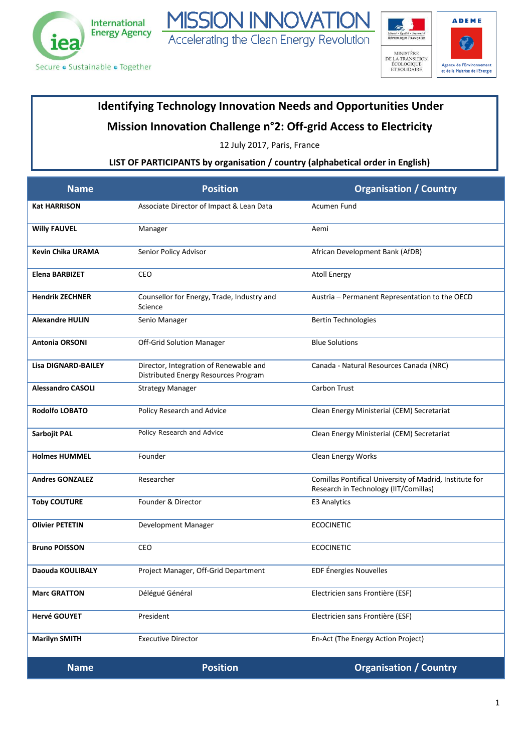



## **Identifying Technology Innovation Needs and Opportunities Under**

Accelerating the Clean Energy Revolution

**ISSION INNOVAT** 

## **Mission Innovation Challenge n°2: Off-grid Access to Electricity**

12 July 2017, Paris, France

## **LIST OF PARTICIPANTS by organisation / country (alphabetical order in English)**

| <b>Name</b>                | <b>Position</b>                                                                | <b>Organisation / Country</b>                                                                    |
|----------------------------|--------------------------------------------------------------------------------|--------------------------------------------------------------------------------------------------|
| <b>Kat HARRISON</b>        | Associate Director of Impact & Lean Data                                       | Acumen Fund                                                                                      |
| <b>Willy FAUVEL</b>        | Manager                                                                        | Aemi                                                                                             |
| <b>Kevin Chika URAMA</b>   | Senior Policy Advisor                                                          | African Development Bank (AfDB)                                                                  |
| <b>Elena BARBIZET</b>      | CEO                                                                            | <b>Atoll Energy</b>                                                                              |
| <b>Hendrik ZECHNER</b>     | Counsellor for Energy, Trade, Industry and<br>Science                          | Austria - Permanent Representation to the OECD                                                   |
| <b>Alexandre HULIN</b>     | Senio Manager                                                                  | <b>Bertin Technologies</b>                                                                       |
| <b>Antonia ORSONI</b>      | Off-Grid Solution Manager                                                      | <b>Blue Solutions</b>                                                                            |
| <b>Lisa DIGNARD-BAILEY</b> | Director, Integration of Renewable and<br>Distributed Energy Resources Program | Canada - Natural Resources Canada (NRC)                                                          |
| <b>Alessandro CASOLI</b>   | <b>Strategy Manager</b>                                                        | Carbon Trust                                                                                     |
| <b>Rodolfo LOBATO</b>      | Policy Research and Advice                                                     | Clean Energy Ministerial (CEM) Secretariat                                                       |
| Sarbojit PAL               | Policy Research and Advice                                                     | Clean Energy Ministerial (CEM) Secretariat                                                       |
| <b>Holmes HUMMEL</b>       | Founder                                                                        | Clean Energy Works                                                                               |
| <b>Andres GONZALEZ</b>     | Researcher                                                                     | Comillas Pontifical University of Madrid, Institute for<br>Research in Technology (IIT/Comillas) |
| <b>Toby COUTURE</b>        | Founder & Director                                                             | <b>E3 Analytics</b>                                                                              |
| <b>Olivier PETETIN</b>     | Development Manager                                                            | <b>ECOCINETIC</b>                                                                                |
| <b>Bruno POISSON</b>       | CEO                                                                            | <b>ECOCINETIC</b>                                                                                |
| Daouda KOULIBALY           | Project Manager, Off-Grid Department                                           | EDF Énergies Nouvelles                                                                           |
| <b>Marc GRATTON</b>        | Délégué Général                                                                | Electricien sans Frontière (ESF)                                                                 |
| <b>Hervé GOUYET</b>        | President                                                                      | Electricien sans Frontière (ESF)                                                                 |
| <b>Marilyn SMITH</b>       | <b>Executive Director</b>                                                      | En-Act (The Energy Action Project)                                                               |
| <b>Name</b>                | <b>Position</b>                                                                | <b>Organisation / Country</b>                                                                    |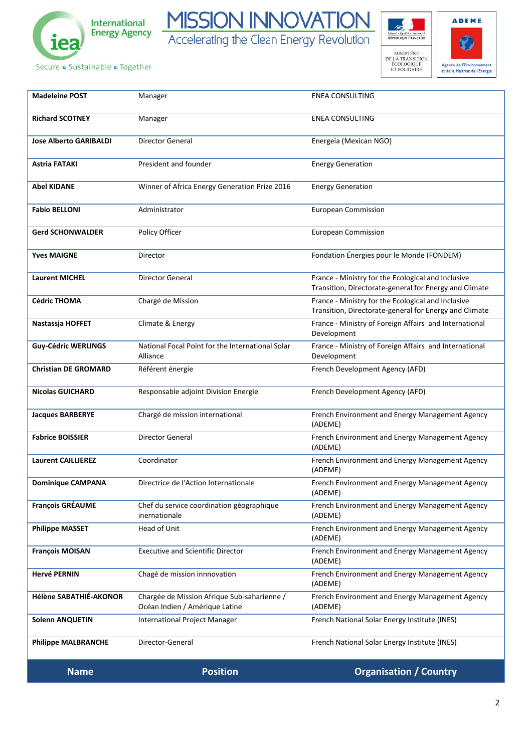





Secure · Sustainable · Together

| <b>Name</b>                   | <b>Position</b>                                                               | <b>Organisation / Country</b>                                                                                |
|-------------------------------|-------------------------------------------------------------------------------|--------------------------------------------------------------------------------------------------------------|
| <b>Philippe MALBRANCHE</b>    | Director-General                                                              | French National Solar Energy Institute (INES)                                                                |
| <b>Solenn ANQUETIN</b>        | International Project Manager                                                 | French National Solar Energy Institute (INES)                                                                |
| Hélène SABATHIÉ-AKONOR        | Chargée de Mission Afrique Sub-saharienne /<br>Océan Indien / Amérique Latine | French Environment and Energy Management Agency<br>(ADEME)                                                   |
| <b>Hervé PERNIN</b>           | Chagé de mission innnovation                                                  | French Environment and Energy Management Agency<br>(ADEME)                                                   |
| <b>François MOISAN</b>        | <b>Executive and Scientific Director</b>                                      | French Environment and Energy Management Agency<br>(ADEME)                                                   |
| <b>Philippe MASSET</b>        | Head of Unit                                                                  | French Environment and Energy Management Agency<br>(ADEME)                                                   |
| <b>François GRÉAUME</b>       | Chef du service coordination géographique<br>inernationale                    | French Environment and Energy Management Agency<br>(ADEME)                                                   |
| <b>Dominique CAMPANA</b>      | Directrice de l'Action Internationale                                         | French Environment and Energy Management Agency<br>(ADEME)                                                   |
| <b>Laurent CAILLIEREZ</b>     | Coordinator                                                                   | French Environment and Energy Management Agency<br>(ADEME)                                                   |
| <b>Fabrice BOISSIER</b>       | Director General                                                              | French Environment and Energy Management Agency<br>(ADEME)                                                   |
| <b>Jacques BARBERYE</b>       | Chargé de mission international                                               | French Environment and Energy Management Agency<br>(ADEME)                                                   |
| <b>Nicolas GUICHARD</b>       | Responsable adjoint Division Energie                                          | French Development Agency (AFD)                                                                              |
| <b>Christian DE GROMARD</b>   | Référent énergie                                                              | French Development Agency (AFD)                                                                              |
| <b>Guy-Cédric WERLINGS</b>    | National Focal Point for the International Solar<br>Alliance                  | France - Ministry of Foreign Affairs and International<br>Development                                        |
| Nastassja HOFFET              | Climate & Energy                                                              | France - Ministry of Foreign Affairs and International<br>Development                                        |
| <b>Cédric THOMA</b>           | Chargé de Mission                                                             | France - Ministry for the Ecological and Inclusive<br>Transition, Directorate-general for Energy and Climate |
| <b>Laurent MICHEL</b>         | Director General                                                              | France - Ministry for the Ecological and Inclusive<br>Transition, Directorate-general for Energy and Climate |
| <b>Yves MAIGNE</b>            | Director                                                                      | Fondation Énergies pour le Monde (FONDEM)                                                                    |
| <b>Gerd SCHONWALDER</b>       | Policy Officer                                                                | <b>European Commission</b>                                                                                   |
| <b>Fabio BELLONI</b>          | Administrator                                                                 | <b>European Commission</b>                                                                                   |
| <b>Abel KIDANE</b>            | Winner of Africa Energy Generation Prize 2016                                 | <b>Energy Generation</b>                                                                                     |
| Astria FATAKI                 | President and founder                                                         | <b>Energy Generation</b>                                                                                     |
| <b>Jose Alberto GARIBALDI</b> | Director General                                                              | Energeia (Mexican NGO)                                                                                       |
| <b>Richard SCOTNEY</b>        | Manager                                                                       | <b>ENEA CONSULTING</b>                                                                                       |
| <b>Madeleine POST</b>         | Manager                                                                       | <b>ENEA CONSULTING</b>                                                                                       |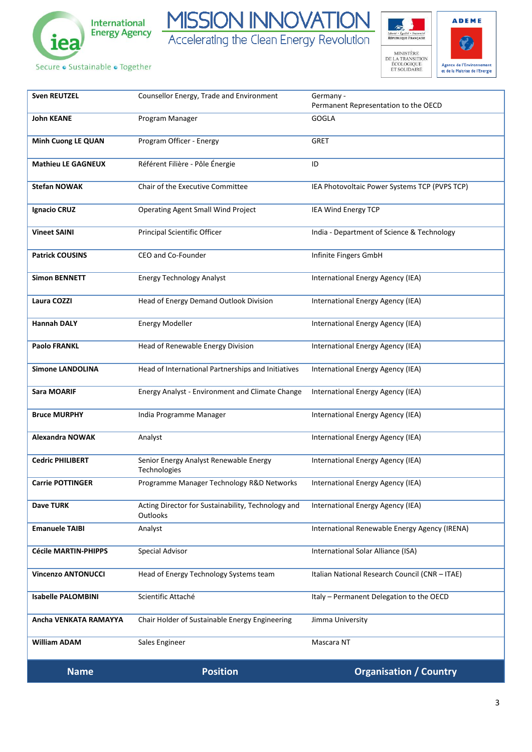

MISSION INNOVATION Accelerating the Clean Energy Revolution

Secure · Sustainable · Together



 $\rightarrow$ 

| <b>Name</b>                 | <b>Position</b>                                                       | <b>Organisation / Country</b>                     |
|-----------------------------|-----------------------------------------------------------------------|---------------------------------------------------|
| <b>William ADAM</b>         | Sales Engineer                                                        | Mascara NT                                        |
| Ancha VENKATA RAMAYYA       | Chair Holder of Sustainable Energy Engineering                        | Jimma University                                  |
| <b>Isabelle PALOMBINI</b>   | Scientific Attaché                                                    | Italy - Permanent Delegation to the OECD          |
| <b>Vincenzo ANTONUCCI</b>   | Head of Energy Technology Systems team                                | Italian National Research Council (CNR - ITAE)    |
| <b>Cécile MARTIN-PHIPPS</b> | Special Advisor                                                       | International Solar Alliance (ISA)                |
| <b>Emanuele TAIBI</b>       | Analyst                                                               | International Renewable Energy Agency (IRENA)     |
| <b>Dave TURK</b>            | Acting Director for Sustainability, Technology and<br><b>Outlooks</b> | International Energy Agency (IEA)                 |
| <b>Carrie POTTINGER</b>     | Programme Manager Technology R&D Networks                             | International Energy Agency (IEA)                 |
| <b>Cedric PHILIBERT</b>     | Senior Energy Analyst Renewable Energy<br>Technologies                | International Energy Agency (IEA)                 |
| <b>Alexandra NOWAK</b>      | Analyst                                                               | International Energy Agency (IEA)                 |
| <b>Bruce MURPHY</b>         | India Programme Manager                                               | International Energy Agency (IEA)                 |
| <b>Sara MOARIF</b>          | Energy Analyst - Environment and Climate Change                       | International Energy Agency (IEA)                 |
| <b>Simone LANDOLINA</b>     | Head of International Partnerships and Initiatives                    | International Energy Agency (IEA)                 |
| <b>Paolo FRANKL</b>         | Head of Renewable Energy Division                                     | International Energy Agency (IEA)                 |
| <b>Hannah DALY</b>          | <b>Energy Modeller</b>                                                | International Energy Agency (IEA)                 |
| Laura COZZI                 | Head of Energy Demand Outlook Division                                | International Energy Agency (IEA)                 |
| <b>Simon BENNETT</b>        | <b>Energy Technology Analyst</b>                                      | International Energy Agency (IEA)                 |
| <b>Patrick COUSINS</b>      | CEO and Co-Founder                                                    | Infinite Fingers GmbH                             |
| <b>Vineet SAINI</b>         | Principal Scientific Officer                                          | India - Department of Science & Technology        |
| <b>Ignacio CRUZ</b>         | Operating Agent Small Wind Project                                    | IEA Wind Energy TCP                               |
| <b>Stefan NOWAK</b>         | Chair of the Executive Committee                                      | IEA Photovoltaic Power Systems TCP (PVPS TCP)     |
| <b>Mathieu LE GAGNEUX</b>   | Référent Filière - Pôle Énergie                                       | ID                                                |
| <b>Minh Cuong LE QUAN</b>   | Program Officer - Energy                                              | <b>GRET</b>                                       |
| <b>John KEANE</b>           | Program Manager                                                       | <b>GOGLA</b>                                      |
| <b>Sven REUTZEL</b>         | Counsellor Energy, Trade and Environment                              | Germany -<br>Permanent Representation to the OECD |